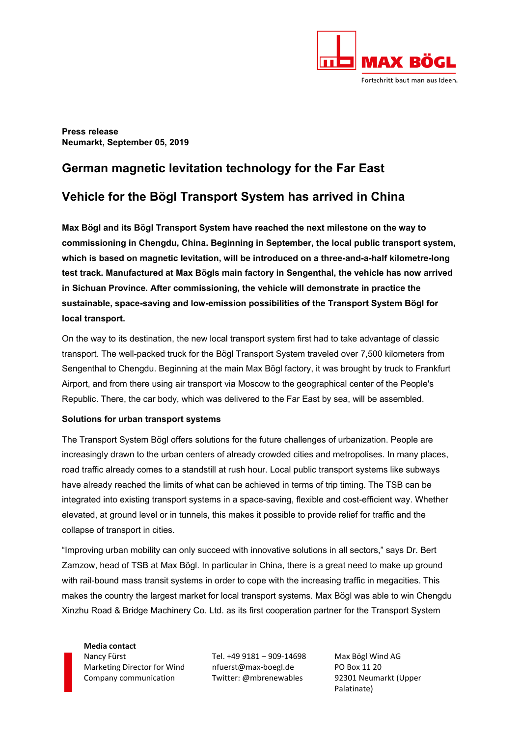

**Press release Neumarkt, September 05, 2019** 

# **German magnetic levitation technology for the Far East**

## **Vehicle for the Bögl Transport System has arrived in China**

**Max Bögl and its Bögl Transport System have reached the next milestone on the way to commissioning in Chengdu, China. Beginning in September, the local public transport system, which is based on magnetic levitation, will be introduced on a three-and-a-half kilometre-long test track. Manufactured at Max Bögls main factory in Sengenthal, the vehicle has now arrived in Sichuan Province. After commissioning, the vehicle will demonstrate in practice the sustainable, space-saving and low-emission possibilities of the Transport System Bögl for local transport.** 

On the way to its destination, the new local transport system first had to take advantage of classic transport. The well-packed truck for the Bögl Transport System traveled over 7,500 kilometers from Sengenthal to Chengdu. Beginning at the main Max Bögl factory, it was brought by truck to Frankfurt Airport, and from there using air transport via Moscow to the geographical center of the People's Republic. There, the car body, which was delivered to the Far East by sea, will be assembled.

### **Solutions for urban transport systems**

The Transport System Bögl offers solutions for the future challenges of urbanization. People are increasingly drawn to the urban centers of already crowded cities and metropolises. In many places, road traffic already comes to a standstill at rush hour. Local public transport systems like subways have already reached the limits of what can be achieved in terms of trip timing. The TSB can be integrated into existing transport systems in a space-saving, flexible and cost-efficient way. Whether elevated, at ground level or in tunnels, this makes it possible to provide relief for traffic and the collapse of transport in cities.

"Improving urban mobility can only succeed with innovative solutions in all sectors," says Dr. Bert Zamzow, head of TSB at Max Bögl. In particular in China, there is a great need to make up ground with rail-bound mass transit systems in order to cope with the increasing traffic in megacities. This makes the country the largest market for local transport systems. Max Bögl was able to win Chengdu Xinzhu Road & Bridge Machinery Co. Ltd. as its first cooperation partner for the Transport System

**Media contact**  Nancy Fürst Tel. +49 9181 – 909‐14698 Max Bögl Wind AG Marketing Director for Wind nfuerst@max‐boegl.de PO Box 11 20 Company communication Twitter: @mbrenewables 92301 Neumarkt (Upper

Palatinate)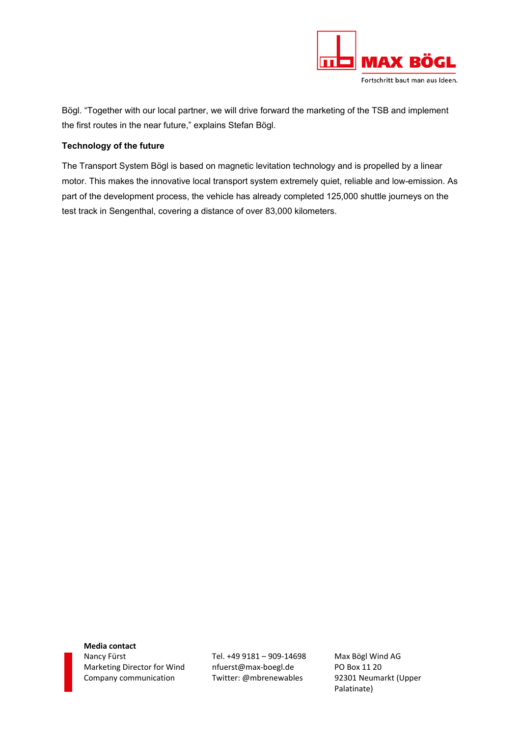

Bögl. "Together with our local partner, we will drive forward the marketing of the TSB and implement the first routes in the near future," explains Stefan Bögl.

## **Technology of the future**

The Transport System Bögl is based on magnetic levitation technology and is propelled by a linear motor. This makes the innovative local transport system extremely quiet, reliable and low-emission. As part of the development process, the vehicle has already completed 125,000 shuttle journeys on the test track in Sengenthal, covering a distance of over 83,000 kilometers.

**Media contact**  Nancy Fürst Tel. +49 9181 – 909‐14698 Max Bögl Wind AG Marketing Director for Wind nfuerst@max-boegl.de PO Box 11 20 Company communication Twitter: @mbrenewables 92301 Neumarkt (Upper

Palatinate)